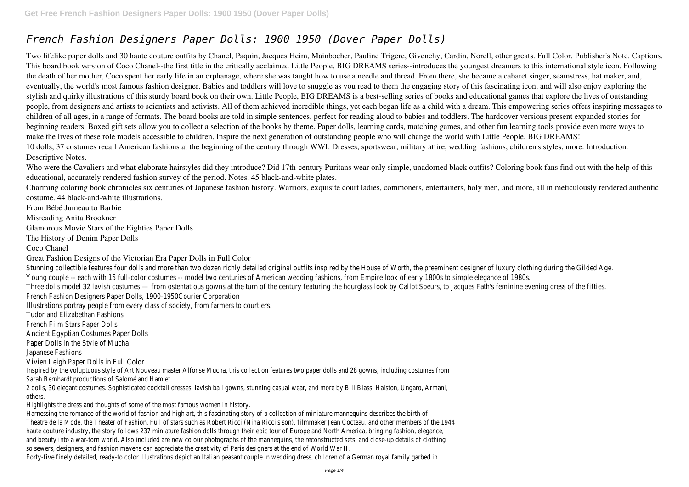## *French Fashion Designers Paper Dolls: 1900 1950 (Dover Paper Dolls)*

Two lifelike paper dolls and 30 haute couture outfits by Chanel, Paquin, Jacques Heim, Mainbocher, Pauline Trigere, Givenchy, Cardin, Norell, other greats. Full Color. Publisher's Note. Captions. This board book version of Coco Chanel--the first title in the critically acclaimed Little People, BIG DREAMS series--introduces the youngest dreamers to this international style icon. Following the death of her mother, Coco spent her early life in an orphanage, where she was taught how to use a needle and thread. From there, she became a cabaret singer, seamstress, hat maker, and, eventually, the world's most famous fashion designer. Babies and toddlers will love to snuggle as you read to them the engaging story of this fascinating icon, and will also enjoy exploring the stylish and quirky illustrations of this sturdy board book on their own. Little People, BIG DREAMS is a best-selling series of books and educational games that explore the lives of outstanding people, from designers and artists to scientists and activists. All of them achieved incredible things, yet each began life as a child with a dream. This empowering series offers inspiring messages to children of all ages, in a range of formats. The board books are told in simple sentences, perfect for reading aloud to babies and toddlers. The hardcover versions present expanded stories for beginning readers. Boxed gift sets allow you to collect a selection of the books by theme. Paper dolls, learning cards, matching games, and other fun learning tools provide even more ways to make the lives of these role models accessible to children. Inspire the next generation of outstanding people who will change the world with Little People, BIG DREAMS! 10 dolls, 37 costumes recall American fashions at the beginning of the century through WWI. Dresses, sportswear, military attire, wedding fashions, children's styles, more. Introduction. Descriptive Notes.

Who were the Cavaliers and what elaborate hairstyles did they introduce? Did 17th-century Puritans wear only simple, unadorned black outfits? Coloring book fans find out with the help of this educational, accurately rendered fashion survey of the period. Notes. 45 black-and-white plates.

Stunning collectible features four dolls and more than two dozen richly detailed original outfits inspired by the House of Wor Young couple -- each with 15 full-color costumes -- model two centuries of American wedding fashions, from Empire look of Three dolls model 32 lavish costumes — from ostentatious gowns at the turn of the century featuring the hourglass look b French Fashion Designers Paper Dolls, 1900-1950Courier Corporation

Charming coloring book chronicles six centuries of Japanese fashion history. Warriors, exquisite court ladies, commoners, entertainers, holy men, and more, all in meticulously rendered authentic costume. 44 black-and-white illustrations.

From Bébé Jumeau to Barbie

Misreading Anita Brookner

Glamorous Movie Stars of the Eighties Paper Dolls

The History of Denim Paper Dolls

Coco Chanel

Great Fashion Designs of the Victorian Era Paper Dolls in Full Color

Illustrations portray people from every class of society, from farmers to courtiers.

Tudor and Elizabethan Fashions

French Film Stars Paper Dolls

Ancient Egyptian Costumes Paper Dolls

Paper Dolls in the Style of Mucha

Japanese Fashions

Vivien Leigh Paper Dolls in Full Color

Inspired by the voluptuous style of Art Nouveau master Alfonse Mucha, this collection features two paper dolls and 28 gowns, includir Sarah Bernhardt productions of Salomé and Hamlet. 2 dolls, 30 elegant costumes. Sophisticated cocktail dresses, lavish ball gowns, stunning casual wear, and more by Bill Blass, Halston, U

others.

Highlights the dress and thoughts of some of the most famous women in history.

Harnessing the romance of the world of fashion and high art, this fascinating story of a collection of miniature mannequins describes to Theatre de la Mode, the Theater of Fashion. Full of stars such as Robert Ricci (Nina Ricci's son), filmmaker Jean Cocteau, and other mer haute couture industry, the story follows 237 miniature fashion dolls through their epic tour of Europe and North America, bringing fast and beauty into a war-torn world. Also included are new colour photographs of the mannequins, the reconstructed sets, and close-up so sewers, designers, and fashion mavens can appreciate the creativity of Paris designers at the end of World War II. Forty-five finely detailed, ready-to color illustrations depict an Italian peasant couple in wedding dress, children of a German royal family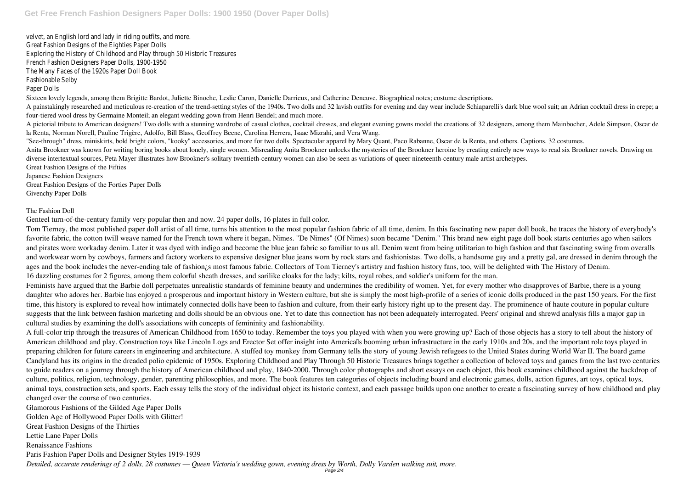velvet, an English lord and lady in riding outfits, and more. Great Fashion Designs of the Eighties Paper Dolls Exploring the History of Childhood and Play through 50 Historic Treasures French Fashion Designers Paper Dolls, 1900-1950 The Many Faces of the 1920s Paper Doll Book Fashionable Selby Paper Dolls

Sixteen lovely legends, among them Brigitte Bardot, Juliette Binoche, Leslie Caron, Danielle Darrieux, and Catherine Deneuve. Biographical notes; costume descriptions. A painstakingly researched and meticulous re-creation of the trend-setting styles of the 1940s. Two dolls and 32 lavish outfits for evening and day wear include Schiaparelli's dark blue wool suit; an Adrian cocktail dress four-tiered wool dress by Germaine Monteil; an elegant wedding gown from Henri Bendel; and much more.

A pictorial tribute to American designers! Two dolls with a stunning wardrobe of casual clothes, cocktail dresses, and elegant evening gowns model the creations of 32 designers, among them Mainbocher, Adele Simpson, Oscar de la Renta, Norman Norell, Pauline Trigère, Adolfo, Bill Blass, Geoffrey Beene, Carolina Herrera, Isaac Mizrahi, and Vera Wang.

"See-through" dress, miniskirts, bold bright colors, "kooky" accessories, and more for two dolls. Spectacular apparel by Mary Quant, Paco Rabanne, Oscar de la Renta, and others. Captions. 32 costumes. Anita Brookner was known for writing boring books about lonely, single women. Misreading Anita Brookner unlocks the mysteries of the Brookner heroine by creating entirely new ways to read six Brookner novels. Drawing on diverse intertextual sources, Peta Mayer illustrates how Brookner's solitary twentieth-century women can also be seen as variations of queer nineteenth-century male artist archetypes. Great Fashion Designs of the Fifties

Japanese Fashion Designers

Great Fashion Designs of the Forties Paper Dolls

Givenchy Paper Dolls

## The Fashion Doll

Genteel turn-of-the-century family very popular then and now. 24 paper dolls, 16 plates in full color.

Tom Tierney, the most published paper doll artist of all time, turns his attention to the most popular fashion fabric of all time, denim. In this fascinating new paper doll book, he traces the history of everybody's favorite fabric, the cotton twill weave named for the French town where it began, Nimes. "De Nimes" (Of Nimes) soon became "Denim." This brand new eight page doll book starts centuries ago when sailors and pirates wore workaday denim. Later it was dyed with indigo and become the blue jean fabric so familiar to us all. Denim went from being utilitarian to high fashion and that fascinating swing from overalls and workwear worn by cowboys, farmers and factory workers to expensive designer blue jeans worn by rock stars and fashionistas. Two dolls, a handsome guy and a pretty gal, are dressed in denim through the ages and the book includes the never-ending tale of fashion<sub>i</sub>s most famous fabric. Collectors of Tom Tierney's artistry and fashion history fans, too, will be delighted with The History of Denim. 16 dazzling costumes for 2 figures, among them colorful sheath dresses, and sarilike cloaks for the lady; kilts, royal robes, and soldier's uniform for the man.

Feminists have argued that the Barbie doll perpetuates unrealistic standards of feminine beauty and undermines the credibility of women. Yet, for every mother who disapproves of Barbie, there is a young daughter who adores her. Barbie has enjoyed a prosperous and important history in Western culture, but she is simply the most high-profile of a series of iconic dolls produced in the past 150 years. For the first time, this history is explored to reveal how intimately connected dolls have been to fashion and culture, from their early history right up to the present day. The prominence of haute couture in popular culture suggests that the link between fashion marketing and dolls should be an obvious one. Yet to date this connection has not been adequately interrogated. Peers' original and shrewd analysis fills a major gap in cultural studies by examining the doll's associations with concepts of femininity and fashionability.

A full-color trip through the treasures of American Childhood from 1650 to today. Remember the toys you played with when you were growing up? Each of those objects has a story to tell about the history of American childhood and play. Construction toys like Lincoln Logs and Erector Set offer insight into Americals booming urban infrastructure in the early 1910s and 20s, and the important role toys played in preparing children for future careers in engineering and architecture. A stuffed toy monkey from Germany tells the story of young Jewish refugees to the United States during World War II. The board game Candyland has its origins in the dreaded polio epidemic of 1950s. Exploring Childhood and Play Through 50 Historic Treasures brings together a collection of beloved toys and games from the last two centuries to guide readers on a journey through the history of American childhood and play, 1840-2000. Through color photographs and short essays on each object, this book examines childhood against the backdrop of culture, politics, religion, technology, gender, parenting philosophies, and more. The book features ten categories of objects including board and electronic games, dolls, action figures, art toys, optical toys, animal toys, construction sets, and sports. Each essay tells the story of the individual object its historic context, and each passage builds upon one another to create a fascinating survey of how childhood and play changed over the course of two centuries.

Glamorous Fashions of the Gilded Age Paper Dolls Golden Age of Hollywood Paper Dolls with Glitter! Great Fashion Designs of the Thirties Lettie Lane Paper Dolls Renaissance Fashions Paris Fashion Paper Dolls and Designer Styles 1919-1939 *Detailed, accurate renderings of 2 dolls, 28 costumes — Queen Victoria's wedding gown, evening dress by Worth, Dolly Varden walking suit, more.* Page 2/4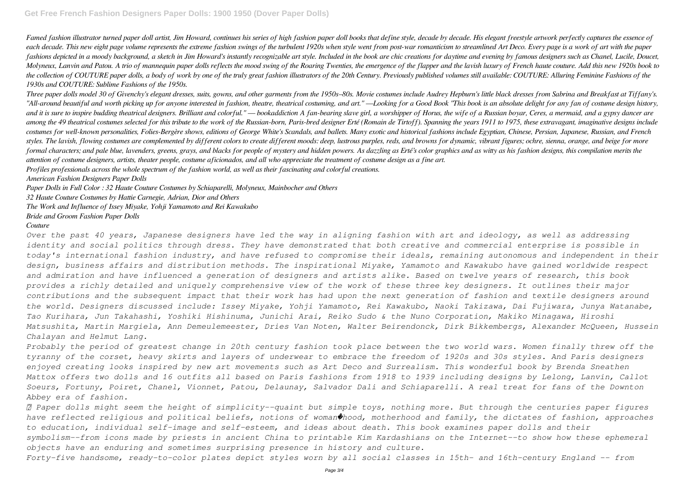Famed fashion illustrator turned paper doll artist, Jim Howard, continues his series of high fashion paper doll books that define style, decade by decade. His elegant freestyle artwork perfectly captures the essence of *each decade. This new eight page volume represents the extreme fashion swings of the turbulent 1920s when style went from post-war romanticism to streamlined Art Deco. Every page is a work of art with the paper fashions depicted in a moody background, a sketch in Jim Howard's instantly recognizable art style. Included in the book are chic creations for daytime and evening by famous designers such as Chanel, Lucile, Doucet, Molyneux, Lanvin and Patou. A trio of mannequin paper dolls reflects the mood swing of the Roaring Twenties, the emergence of the flapper and the lavish luxury of French haute couture. Add this new 1920s book to the collection of COUTURE paper dolls, a body of work by one of the truly great fashion illustrators of the 20th Century. Previously published volumes still available: COUTURE: Alluring Feminine Fashions of the 1930s and COUTURE: Sublime Fashions of the 1950s.*

*Three paper dolls model 30 of Givenchy's elegant dresses, suits, gowns, and other garments from the 1950s–80s. Movie costumes include Audrey Hepburn's little black dresses from Sabrina and Breakfast at Tiffany's. "All-around beautiful and worth picking up for anyone interested in fashion, theatre, theatrical costuming, and art." —Looking for a Good Book "This book is an absolute delight for any fan of costume design history, and it is sure to inspire budding theatrical designers. Brilliant and colorful." — bookaddiction A fan-bearing slave girl, a worshipper of Horus, the wife of a Russian boyar, Ceres, a mermaid, and a gypsy dancer are among the 49 theatrical costumes selected for this tribute to the work of the Russian-born, Paris-bred designer Erté (Romain de Tirtoff). Spanning the years 1911 to 1975, these extravagant, imaginative designs include costumes for well-known personalities, Folies-Bergère shows, editions of George White's Scandals, and ballets. Many exotic and historical fashions include Egyptian, Chinese, Persian, Japanese, Russian, and French styles. The lavish, flowing costumes are complemented by different colors to create different moods: deep, lustrous purples, reds, and browns for dynamic, vibrant figures; ochre, sienna, orange, and beige for more formal characters; and pale blue, lavenders, greens, grays, and blacks for people of mystery and hidden powers. As dazzling as Erté's color graphics and as witty as his fashion designs, this compilation merits the attention of costume designers, artists, theater people, costume aficionados, and all who appreciate the treatment of costume design as a fine art.*

*Profiles professionals across the whole spectrum of the fashion world, as well as their fascinating and colorful creations.*

*American Fashion Designers Paper Dolls*

*Paper Dolls in Full Color : 32 Haute Couture Costumes by Schiaparelli, Molyneux, Mainbocher and Others*

*32 Haute Couture Costumes by Hattie Carnegie, Adrian, Dior and Others*

*The Work and Influence of Issey Miyake, Yohji Yamamoto and Rei Kawakubo*

*Bride and Groom Fashion Paper Dolls*

## *Couture*

*Over the past 40 years, Japanese designers have led the way in aligning fashion with art and ideology, as well as addressing identity and social politics through dress. They have demonstrated that both creative and commercial enterprise is possible in today's international fashion industry, and have refused to compromise their ideals, remaining autonomous and independent in their design, business affairs and distribution methods. The inspirational Miyake, Yamamoto and Kawakubo have gained worldwide respect and admiration and have influenced a generation of designers and artists alike. Based on twelve years of research, this book provides a richly detailed and uniquely comprehensive view of the work of these three key designers. It outlines their major contributions and the subsequent impact that their work has had upon the next generation of fashion and textile designers around the world. Designers discussed include: Issey Miyake, Yohji Yamamoto, Rei Kawakubo, Naoki Takizawa, Dai Fujiwara, Junya Watanabe, Tao Kurihara, Jun Takahashi, Yoshiki Hishinuma, Junichi Arai, Reiko Sudo & the Nuno Corporation, Makiko Minagawa, Hiroshi Matsushita, Martin Margiela, Ann Demeulemeester, Dries Van Noten, Walter Beirendonck, Dirk Bikkembergs, Alexander McQueen, Hussein Chalayan and Helmut Lang.*

*Probably the period of greatest change in 20th century fashion took place between the two world wars. Women finally threw off the tyranny of the corset, heavy skirts and layers of underwear to embrace the freedom of 1920s and 30s styles. And Paris designers enjoyed creating looks inspired by new art movements such as Art Deco and Surrealism. This wonderful book by Brenda Sneathen Mattox offers two dolls and 16 outfits all based on Paris fashions from 1918 to 1939 including designs by Lelong, Lanvin, Callot Soeurs, Fortuny, Poiret, Chanel, Vionnet, Patou, Delaunay, Salvador Dali and Schiaparelli. A real treat for fans of the Downton Abbey era of fashion.*

 *Paper dolls might seem the height of simplicity--quaint but simple toys, nothing more. But through the centuries paper figures have reflected religious and political beliefs, notions of woman�hood, motherhood and family, the dictates of fashion, approaches to education, individual self-image and self-esteem, and ideas about death. This book examines paper dolls and their symbolism--from icons made by priests in ancient China to printable Kim Kardashians on the Internet--to show how these ephemeral objects have an enduring and sometimes surprising presence in history and culture.*

*Forty-five handsome, ready-to-color plates depict styles worn by all social classes in 15th- and 16th-century England -- from*